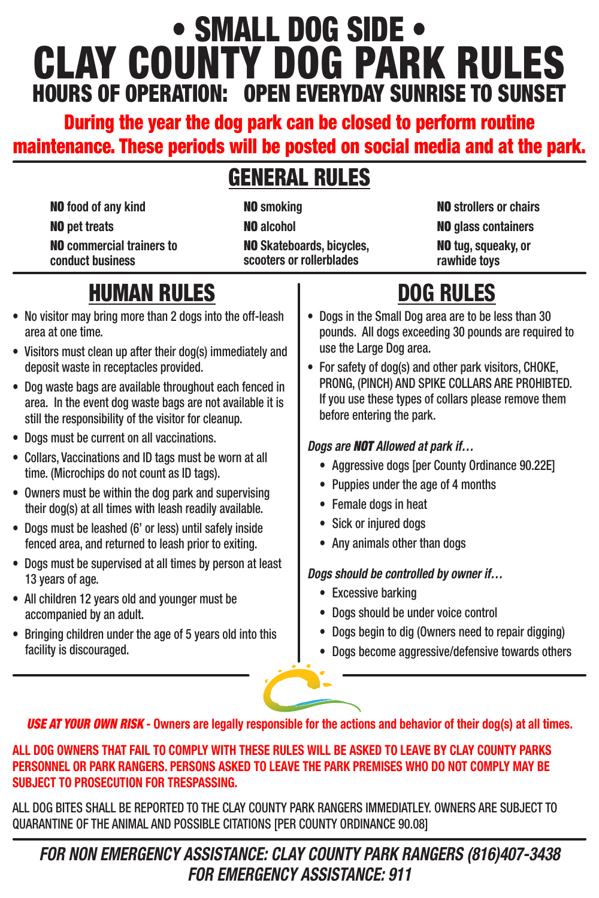# • SMALL DOG SIDE • CLAY COUNTY DOG PARK RULES HOURS OF OPERATION: OPEN EVERYDAY SUNRISE TO SUNSET During the year the dog park can be closed to perform routine maintenance. These periods will be posted on social media and at the park.

### HUMAN RULES

- No visitor may bring more than 2 dogs into the off-leash area at one time.
- Visitors must clean up after their dog(s) immediately and deposit waste in receptacles provided.
- Dog waste bags are available throughout each fenced in area. In the event dog waste bags are not available it is still the responsibility of the visitor for cleanup.
- Dogs must be current on all vaccinations.
- Collars, Vaccinations and ID tags must be worn at all time. (Microchips do not count as ID tags).
- Owners must be within the dog park and supervising their dog(s) at all times with leash readily available.
- Dogs must be leashed (6' or less) until safely inside fenced area, and returned to leash prior to exiting.
- Dogs must be supervised at all times by person at least 13 years of age.
- All children 12 years old and younger must be accompanied by an adult.

**sponsible for the acti** *USE AT YOUR OWN RISK* - Owners are legally responsible for the actions and behavior of their dog(s) at all times.

DOG RULES

- Dogs in the Small Dog area are to be less than 30 pounds. All dogs exceeding 30 pounds are required to use the Large Dog area.
- For safety of dog(s) and other park visitors, CHOKE, PRONG, (PINCH) AND SPIKE COLLARS ARE PROHIBTED. If you use these types of collars please remove them before entering the park.

- Excessive barking
- Dogs should be under voice control
- Bringing children under the age of 5 years old into this facility is discouraged.



### *Dogs are NOT Allowed at park if…*

- Aggressive dogs [per County Ordinance 90.22E]
- Puppies under the age of 4 months
- Female dogs in heat
- Sick or injured dogs
- Any animals other than dogs

#### *Dogs should be controlled by owner if…*

- Dogs begin to dig (Owners need to repair digging)
- Dogs become aggressive/defensive towards others

## GENERAL RULES

NO food of any kind

NO pet treats

NO commercial trainers to conduct business

NO smoking

NO alcohol

NO Skateboards, bicycles, scooters or rollerblades

NO strollers or chairs NO glass containers NO tug, squeaky, or

rawhide toys

ALL DOG OWNERS THAT FAIL TO COMPLY WITH THESE RULES WILL BE ASKED TO LEAVE BY CLAY COUNTY PARKS PERSONNEL OR PARK RANGERS. PERSONS ASKED TO LEAVE THE PARK PREMISES WHO DO NOT COMPLY MAY BE SUBJECT TO PROSECUTION FOR TRESPASSING.

ALL DOG BITES SHALL BE REPORTED TO THE CLAY COUNTY PARK RANGERS IMMEDIATLEY. OWNERS ARE SUBJECT TO QUARANTINE OF THE ANIMAL AND POSSIBLE CITATIONS [PER COUNTY ORDINANCE 90.08]

*FOR NON EMERGENCY ASSISTANCE: CLAY COUNTY PARK RANGERS (816)407-3438 FOR EMERGENCY ASSISTANCE: 911*